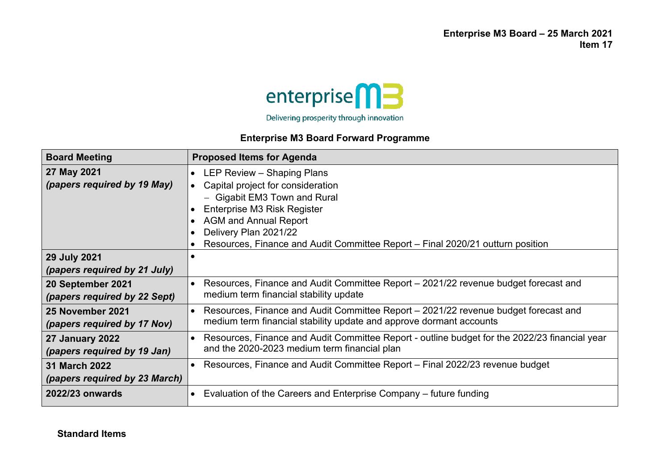**Enterprise M3 Board – 25 March 2021 Item 17**



## **Enterprise M3 Board Forward Programme**

| <b>Board Meeting</b>          | <b>Proposed Items for Agenda</b>                                                              |
|-------------------------------|-----------------------------------------------------------------------------------------------|
| 27 May 2021                   | LEP Review - Shaping Plans<br>$\bullet$                                                       |
| (papers required by 19 May)   | Capital project for consideration                                                             |
|                               | - Gigabit EM3 Town and Rural                                                                  |
|                               | Enterprise M3 Risk Register                                                                   |
|                               | <b>AGM and Annual Report</b>                                                                  |
|                               | Delivery Plan 2021/22                                                                         |
|                               | Resources, Finance and Audit Committee Report - Final 2020/21 outturn position<br>$\bullet$   |
| 29 July 2021                  |                                                                                               |
| (papers required by 21 July)  |                                                                                               |
| 20 September 2021             | Resources, Finance and Audit Committee Report – 2021/22 revenue budget forecast and           |
| (papers required by 22 Sept)  | medium term financial stability update                                                        |
| 25 November 2021              | Resources, Finance and Audit Committee Report – 2021/22 revenue budget forecast and           |
| (papers required by 17 Nov)   | medium term financial stability update and approve dormant accounts                           |
| <b>27 January 2022</b>        | Resources, Finance and Audit Committee Report - outline budget for the 2022/23 financial year |
| (papers required by 19 Jan)   | and the 2020-2023 medium term financial plan                                                  |
| <b>31 March 2022</b>          | Resources, Finance and Audit Committee Report – Final 2022/23 revenue budget                  |
| (papers required by 23 March) |                                                                                               |
| 2022/23 onwards               | Evaluation of the Careers and Enterprise Company - future funding<br>$\bullet$                |